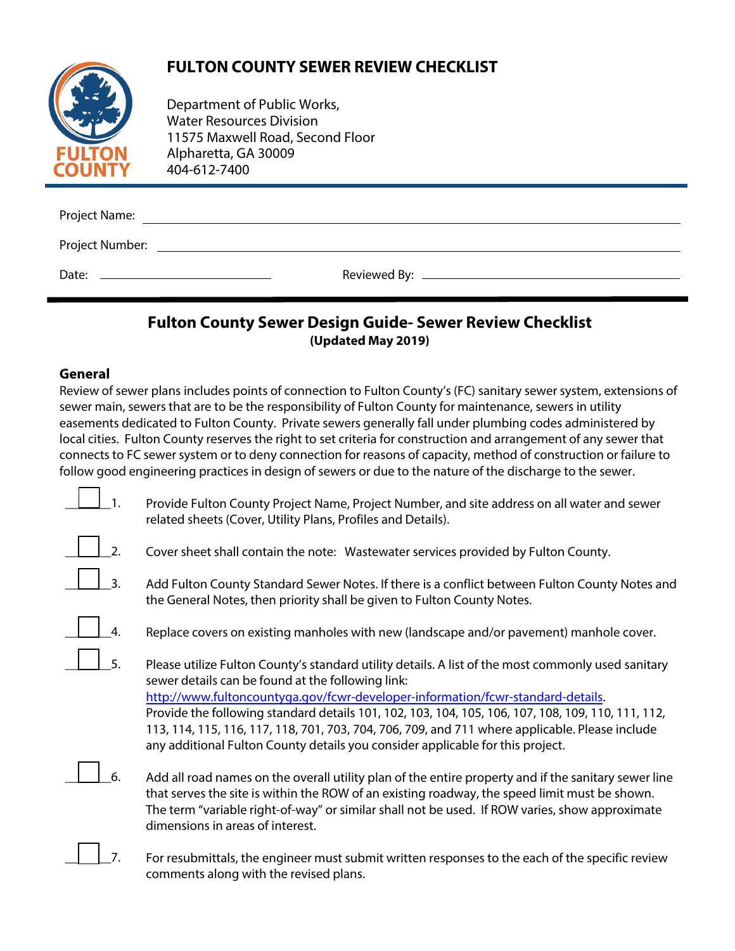# **FULTON COUNTY SEWER REVIEW CHECKLIST**



Department of Public Works, Water Resources Division [11575 Maxwell Road, Se](file:///C:/Users/adriana.bustillos/AppData/Local/Microsoft/Windows/Temporary%20Internet%20Files/Content.Outlook/BQOZF3FP/www.fultoncountyga.com)cond Floor Alpharetta, GA 30009 404-612-7400

| Project Name:   |  |  |  |
|-----------------|--|--|--|
| Project Number: |  |  |  |
| Date:           |  |  |  |

## **Fulton County Sewer Design Guide- Sewer Review Checklist (Updated May 2019)**

### **General**

Review of sewer plans includes points of connection to Fulton County's (FC) sanitary sewer system, extensions of sewer main, sewers that are to be the responsibility of Fulton County for maintenance, sewers in utility easements dedicated to Fulton County. Private sewers generally fall under plumbing codes administered by local cities. Fulton County reserves the right to set criteria for construction and arrangement of any sewer that connects to FC sewer system or to deny connection for reasons of capacity, method of construction or failure to follow good engineering practices in design of sewers or due to the nature of the discharge to the sewer.

- $\mathbf{1}$ . Provide Fulton County Project Name, Project Number, and site address on all water and sewer related sheets (Cover, Utility Plans, Profiles and Details).
- $\perp$  2. Cover sheet shall contain the note: Wastewater services provided by Fulton County.
- $\perp$  3. Add Fulton County Standard Sewer Notes. If there is a conflict between Fulton County Notes and the General Notes, then priority shall be given to Fulton County Notes.
- $\perp$   $\perp$  4. Replace covers on existing manholes with new (landscape and/or pavement) manhole cover.
- $\perp$  5. Please utilize Fulton County's standard utility details. A list of the most commonly used sanitary sewer details can be found at the following link: [http://www.fultoncountyga.gov/fcwr-developer-information/fcwr-standard-detail](http://www.fultoncountyga.gov/fcwr-developer-information/fcwr-standard-details)s. Provide the following standard details 101, 102, 103, 104, 105, 106, 107, 108, 109, 110, 111, 112, 113, 114, 115, 116, 117, 118, 701, 703, 704, 706, 709, and 711 where applicable. Please include any additional Fulton County details you consider applicable for this project.
	- \_\_\_\_\_\_\_6. Add all road names on the overall utility plan of the entire property and if the sanitary sewer line that serves the site is within the ROW of an existing roadway, the speed limit must be shown. The term "variable right-of-way" or similar shall not be used. If ROW varies, show approximate dimensions in areas of interest.
- $\perp$  7. For resubmittals, the engineer must submit written responses to the each of the specific review comments along with the revised plans.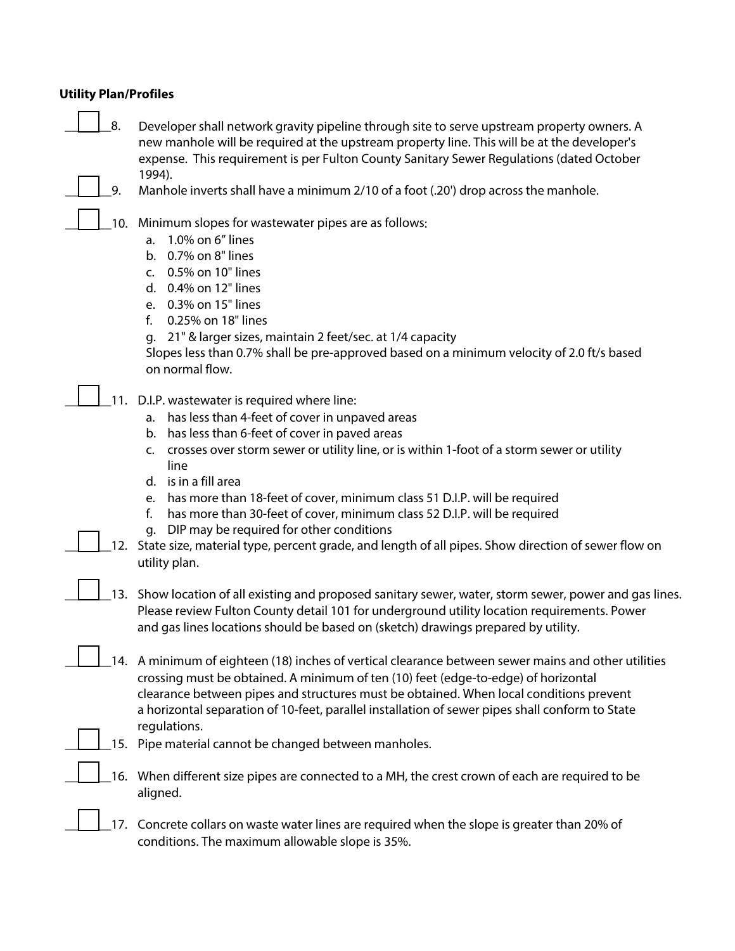#### **Utility Plan/Profiles**

|  | $\vert$   8. | Developer shall network gravity pipeline through site to serve upstream property owners. A  |
|--|--------------|---------------------------------------------------------------------------------------------|
|  |              | new manhole will be required at the upstream property line. This will be at the developer's |
|  |              | expense. This requirement is per Fulton County Sanitary Sewer Regulations (dated October    |
|  |              | 1994).                                                                                      |

9. Manhole inverts shall have a minimum 2/10 of a foot (.20') drop across the manhole.

10. Minimum slopes for wastewater pipes are as follows:

- a. 1.0% on 6" lines
- b. 0.7% on 8" lines
- c. 0.5% on 10" lines
- d. 0.4% on 12" lines
- e. 0.3% on 15" lines
- f. 0.25% on 18" lines

g. 21" & larger sizes, maintain 2 feet/sec. at 1/4 capacity

Slopes less than 0.7% shall be pre-approved based on a minimum velocity of 2.0 ft/s based on normal flow.

- 11. D.I.P. wastewater is required where line:
	- a. has less than 4-feet of cover in unpaved areas
	- b. has less than 6-feet of cover in paved areas
	- c. crosses over storm sewer or utility line, or is within 1-foot of a storm sewer or utility line
	- d. is in a fill area
	- e. has more than 18-feet of cover, minimum class 51 D.I.P. will be required
	- f. has more than 30-feet of cover, minimum class 52 D.I.P. will be required
	- g. DIP may be required for other conditions
- \_\_\_\_\_\_\_12. State size, material type, percent grade, and length of all pipes. Show direction of sewer flow on utility plan.
- \_\_\_\_\_\_\_13. Show location of all existing and proposed sanitary sewer, water, storm sewer, power and gas lines. Please review Fulton County detail 101 for underground utility location requirements. Power and gas lines locations should be based on (sketch) drawings prepared by utility.
- 14. A minimum of eighteen (18) inches of vertical clearance between sewer mains and other utilities crossing must be obtained. A minimum of ten (10) feet (edge-to-edge) of horizontal clearance between pipes and structures must be obtained. When local conditions prevent a horizontal separation of 10-feet, parallel installation of sewer pipes shall conform to State regulations.
- 15. Pipe material cannot be changed between manholes.
- \_\_\_\_\_\_\_16. When different size pipes are connected to a MH, the crest crown of each are required to be aligned.

17. Concrete collars on waste water lines are required when the slope is greater than 20% of conditions. The maximum allowable slope is 35%.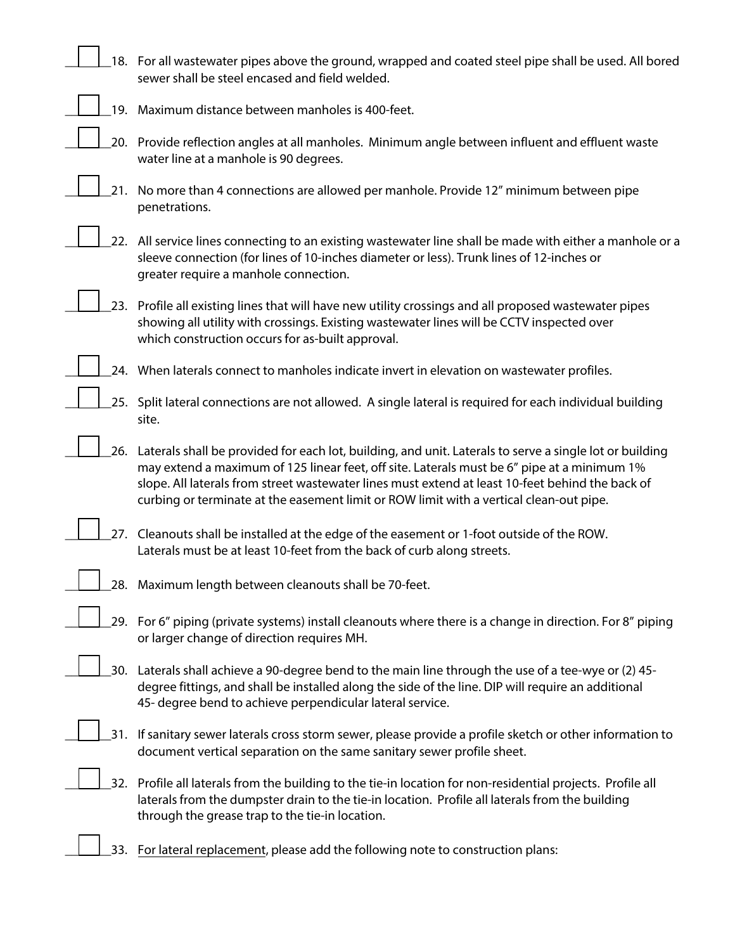|     | 18. For all wastewater pipes above the ground, wrapped and coated steel pipe shall be used. All bored<br>sewer shall be steel encased and field welded.                                                                                                                                                                                                                                                   |
|-----|-----------------------------------------------------------------------------------------------------------------------------------------------------------------------------------------------------------------------------------------------------------------------------------------------------------------------------------------------------------------------------------------------------------|
|     | 19. Maximum distance between manholes is 400-feet.                                                                                                                                                                                                                                                                                                                                                        |
|     | 20. Provide reflection angles at all manholes. Minimum angle between influent and effluent waste<br>water line at a manhole is 90 degrees.                                                                                                                                                                                                                                                                |
|     | 21. No more than 4 connections are allowed per manhole. Provide 12" minimum between pipe<br>penetrations.                                                                                                                                                                                                                                                                                                 |
|     | 22. All service lines connecting to an existing wastewater line shall be made with either a manhole or a<br>sleeve connection (for lines of 10-inches diameter or less). Trunk lines of 12-inches or<br>greater require a manhole connection.                                                                                                                                                             |
|     | 23. Profile all existing lines that will have new utility crossings and all proposed wastewater pipes<br>showing all utility with crossings. Existing wastewater lines will be CCTV inspected over<br>which construction occurs for as-built approval.                                                                                                                                                    |
|     | 24. When laterals connect to manholes indicate invert in elevation on wastewater profiles.                                                                                                                                                                                                                                                                                                                |
|     | 25. Split lateral connections are not allowed. A single lateral is required for each individual building<br>site.                                                                                                                                                                                                                                                                                         |
|     | 26. Laterals shall be provided for each lot, building, and unit. Laterals to serve a single lot or building<br>may extend a maximum of 125 linear feet, off site. Laterals must be 6" pipe at a minimum 1%<br>slope. All laterals from street wastewater lines must extend at least 10-feet behind the back of<br>curbing or terminate at the easement limit or ROW limit with a vertical clean-out pipe. |
|     | 27. Cleanouts shall be installed at the edge of the easement or 1-foot outside of the ROW.<br>Laterals must be at least 10-feet from the back of curb along streets.                                                                                                                                                                                                                                      |
|     | 28. Maximum length between cleanouts shall be 70-feet.                                                                                                                                                                                                                                                                                                                                                    |
|     | 29. For 6" piping (private systems) install cleanouts where there is a change in direction. For 8" piping<br>or larger change of direction requires MH.                                                                                                                                                                                                                                                   |
|     | 30. Laterals shall achieve a 90-degree bend to the main line through the use of a tee-wye or (2) 45-<br>degree fittings, and shall be installed along the side of the line. DIP will require an additional<br>45- degree bend to achieve perpendicular lateral service.                                                                                                                                   |
| 31. | If sanitary sewer laterals cross storm sewer, please provide a profile sketch or other information to<br>document vertical separation on the same sanitary sewer profile sheet.                                                                                                                                                                                                                           |
|     | 32. Profile all laterals from the building to the tie-in location for non-residential projects. Profile all<br>laterals from the dumpster drain to the tie-in location. Profile all laterals from the building<br>through the grease trap to the tie-in location.                                                                                                                                         |

33. For lateral replacement, please add the following note to construction plans: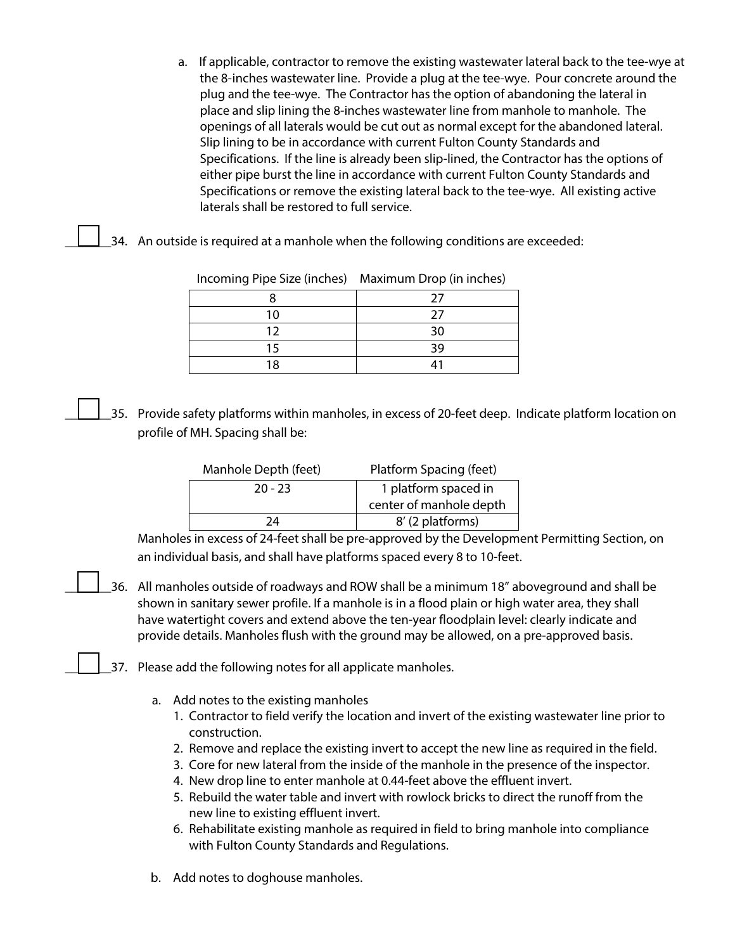- a. If applicable, contractor to remove the existing wastewater lateral back to the tee-wye at the 8-inches wastewater line. Provide a plug at the tee-wye. Pour concrete around the plug and the tee-wye. The Contractor has the option of abandoning the lateral in place and slip lining the 8-inches wastewater line from manhole to manhole. The openings of all laterals would be cut out as normal except for the abandoned lateral. Slip lining to be in accordance with current Fulton County Standards and Specifications. If the line is already been slip-lined, the Contractor has the options of either pipe burst the line in accordance with current Fulton County Standards and Specifications or remove the existing lateral back to the tee-wye. All existing active laterals shall be restored to full service.
- \_34. An outside is required at a manhole when the following conditions are exceeded:

| 1.1 |    |
|-----|----|
|     | 27 |
| 10  | 27 |
| 12  | 30 |
| 15  | 39 |
| ۱Ջ  |    |

Incoming Pipe Size (inches) Maximum Drop (in inches)

\_\_\_\_\_\_\_35. Provide safety platforms within manholes, in excess of 20-feet deep. Indicate platform location on profile of MH. Spacing shall be:

| Manhole Depth (feet) | Platform Spacing (feet) |  |
|----------------------|-------------------------|--|
| $20 - 23$            | 1 platform spaced in    |  |
|                      | center of manhole depth |  |
| 74                   | 8' (2 platforms)        |  |

Manholes in excess of 24-feet shall be pre-approved by the Development Permitting Section, on an individual basis, and shall have platforms spaced every 8 to 10-feet.

- \_\_\_\_\_\_\_36. All manholes outside of roadways and ROW shall be a minimum 18" aboveground and shall be shown in sanitary sewer profile. If a manhole is in a flood plain or high water area, they shall have watertight covers and extend above the ten-year floodplain level: clearly indicate and provide details. Manholes flush with the ground may be allowed, on a pre-approved basis.
- \_37. Please add the following notes for all applicate manholes.
	- a. Add notes to the existing manholes
		- 1. Contractor to field verify the location and invert of the existing wastewater line prior to construction.
		- 2. Remove and replace the existing invert to accept the new line as required in the field.
		- 3. Core for new lateral from the inside of the manhole in the presence of the inspector.
		- 4. New drop line to enter manhole at 0.44-feet above the effluent invert.
		- 5. Rebuild the water table and invert with rowlock bricks to direct the runoff from the new line to existing effluent invert.
		- 6. Rehabilitate existing manhole as required in field to bring manhole into compliance with Fulton County Standards and Regulations.
	- b. Add notes to doghouse manholes.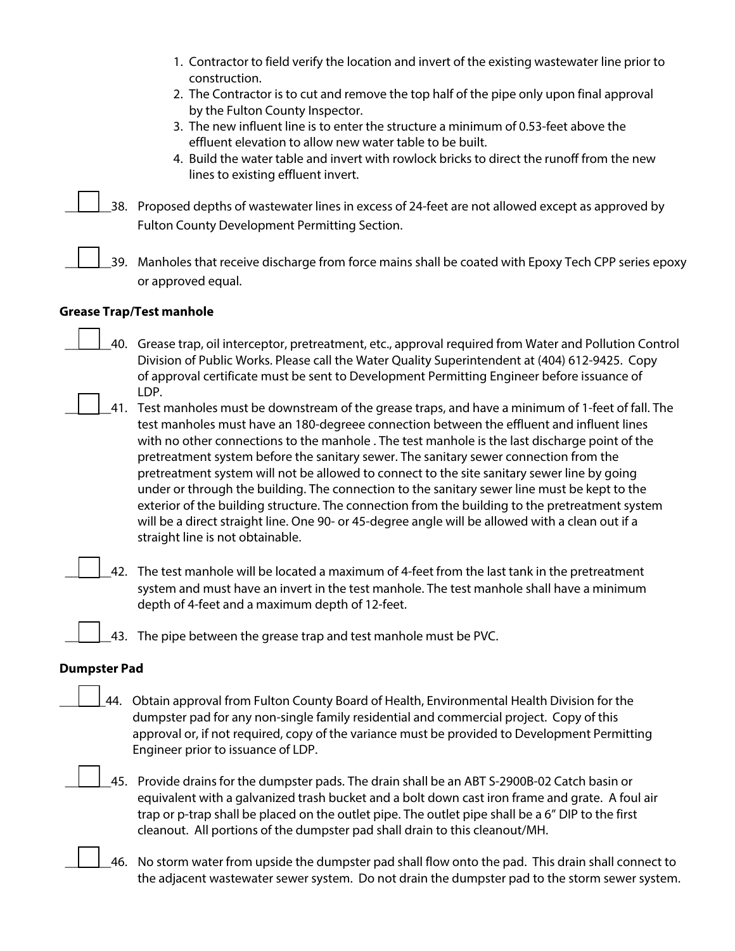| 1. Contractor to field verify the location and invert of the existing wastewater line prior to |  |
|------------------------------------------------------------------------------------------------|--|
| construction.                                                                                  |  |

- 2. The Contractor is to cut and remove the top half of the pipe only upon final approval by the Fulton County Inspector.
- 3. The new influent line is to enter the structure a minimum of 0.53-feet above the effluent elevation to allow new water table to be built.
- 4. Build the water table and invert with rowlock bricks to direct the runoff from the new lines to existing effluent invert.

\_\_\_\_\_\_\_38. Proposed depths of wastewater lines in excess of 24-feet are not allowed except as approved by Fulton County Development Permitting Section.

\_\_\_\_\_\_\_39. Manholes that receive discharge from force mains shall be coated with Epoxy Tech CPP series epoxy or approved equal.

#### **Grease Trap/Test manhole**

- \_\_\_\_\_\_\_40. Grease trap, oil interceptor, pretreatment, etc., approval required from Water and Pollution Control Division of Public Works. Please call the Water Quality Superintendent at (404) 612-9425. Copy of approval certificate must be sent to Development Permitting Engineer before issuance of LDP.
- \_\_\_\_\_\_\_41. Test manholes must be downstream of the grease traps, and have a minimum of 1-feet of fall. The test manholes must have an 180-degreee connection between the effluent and influent lines with no other connections to the manhole . The test manhole is the last discharge point of the pretreatment system before the sanitary sewer. The sanitary sewer connection from the pretreatment system will not be allowed to connect to the site sanitary sewer line by going under or through the building. The connection to the sanitary sewer line must be kept to the exterior of the building structure. The connection from the building to the pretreatment system will be a direct straight line. One 90- or 45-degree angle will be allowed with a clean out if a straight line is not obtainable.
- \_\_\_\_\_\_\_42. The test manhole will be located a maximum of 4-feet from the last tank in the pretreatment system and must have an invert in the test manhole. The test manhole shall have a minimum depth of 4-feet and a maximum depth of 12-feet.

\_\_\_\_\_\_\_43. The pipe between the grease trap and test manhole must be PVC.

#### **Dumpster Pad**

44. Obtain approval from Fulton County Board of Health, Environmental Health Division for the dumpster pad for any non-single family residential and commercial project. Copy of this approval or, if not required, copy of the variance must be provided to Development Permitting Engineer prior to issuance of LDP.

\_\_\_\_\_\_\_45. Provide drains for the dumpster pads. The drain shall be an ABT S-2900B-02 Catch basin or equivalent with a galvanized trash bucket and a bolt down cast iron frame and grate. A foul air trap or p-trap shall be placed on the outlet pipe. The outlet pipe shall be a 6" DIP to the first cleanout. All portions of the dumpster pad shall drain to this cleanout/MH.

\_\_\_\_\_\_\_46. No storm water from upside the dumpster pad shall flow onto the pad. This drain shall connect to the adjacent wastewater sewer system. Do not drain the dumpster pad to the storm sewer system.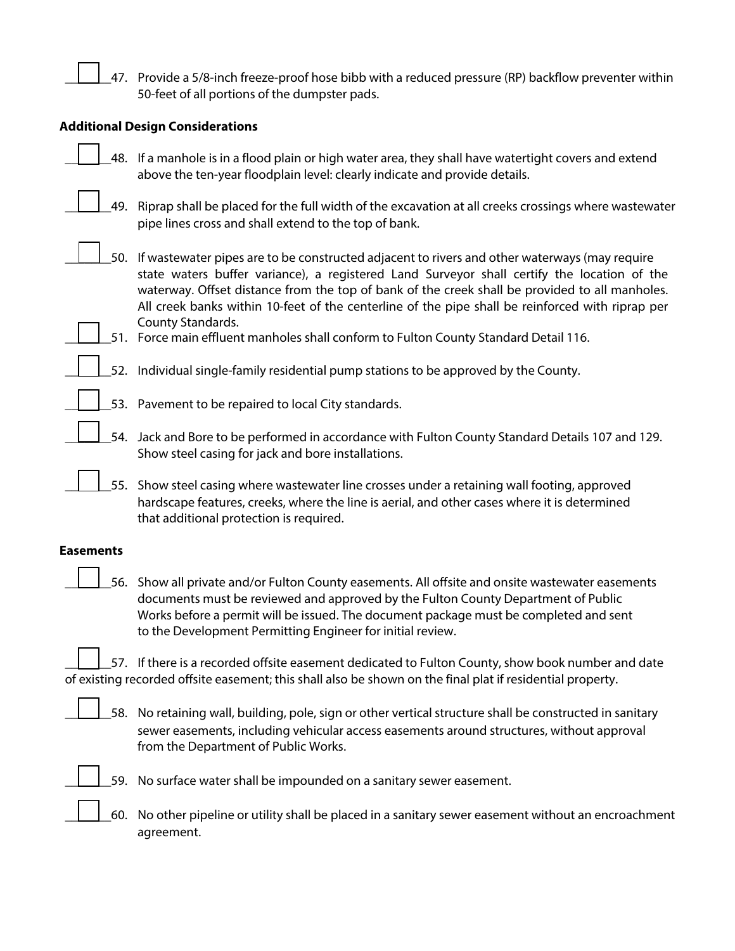\_47. Provide a 5/8-inch freeze-proof hose bibb with a reduced pressure (RP) backflow preventer within 50-feet of all portions of the dumpster pads.

#### **Additional Design Considerations**

|     | 48. If a manhole is in a flood plain or high water area, they shall have watertight covers and extend<br>above the ten-year floodplain level: clearly indicate and provide details.                                                                                                                                                                                                                                         |
|-----|-----------------------------------------------------------------------------------------------------------------------------------------------------------------------------------------------------------------------------------------------------------------------------------------------------------------------------------------------------------------------------------------------------------------------------|
| 49. | Riprap shall be placed for the full width of the excavation at all creeks crossings where wastewater<br>pipe lines cross and shall extend to the top of bank.                                                                                                                                                                                                                                                               |
|     | 50. If wastewater pipes are to be constructed adjacent to rivers and other waterways (may require<br>state waters buffer variance), a registered Land Surveyor shall certify the location of the<br>waterway. Offset distance from the top of bank of the creek shall be provided to all manholes.<br>All creek banks within 10-feet of the centerline of the pipe shall be reinforced with riprap per<br>County Standards. |
|     | 51. Force main effluent manholes shall conform to Fulton County Standard Detail 116.                                                                                                                                                                                                                                                                                                                                        |
|     | 52. Individual single-family residential pump stations to be approved by the County.                                                                                                                                                                                                                                                                                                                                        |
|     | 53. Pavement to be repaired to local City standards.                                                                                                                                                                                                                                                                                                                                                                        |
|     | 54. Jack and Bore to be performed in accordance with Fulton County Standard Details 107 and 129.<br>Show steel casing for jack and bore installations.                                                                                                                                                                                                                                                                      |
| 55. | Show steel casing where wastewater line crosses under a retaining wall footing, approved<br>hardscape features, creeks, where the line is aerial, and other cases where it is determined<br>that additional protection is required.                                                                                                                                                                                         |

#### **Easements**

|  | 56. Show all private and/or Fulton County easements. All offsite and onsite wastewater easements |
|--|--------------------------------------------------------------------------------------------------|
|  | documents must be reviewed and approved by the Fulton County Department of Public                |
|  | Works before a permit will be issued. The document package must be completed and sent            |
|  | to the Development Permitting Engineer for initial review.                                       |

\_57. If there is a recorded offsite easement dedicated to Fulton County, show book number and date of existing recorded offsite easement; this shall also be shown on the final plat if residential property.

\_\_\_\_\_\_\_58. No retaining wall, building, pole, sign or other vertical structure shall be constructed in sanitary sewer easements, including vehicular access easements around structures, without approval from the Department of Public Works.



\_\_\_\_\_\_\_59. No surface water shall be impounded on a sanitary sewer easement.

\_\_\_\_\_\_\_60. No other pipeline or utility shall be placed in a sanitary sewer easement without an encroachment agreement.